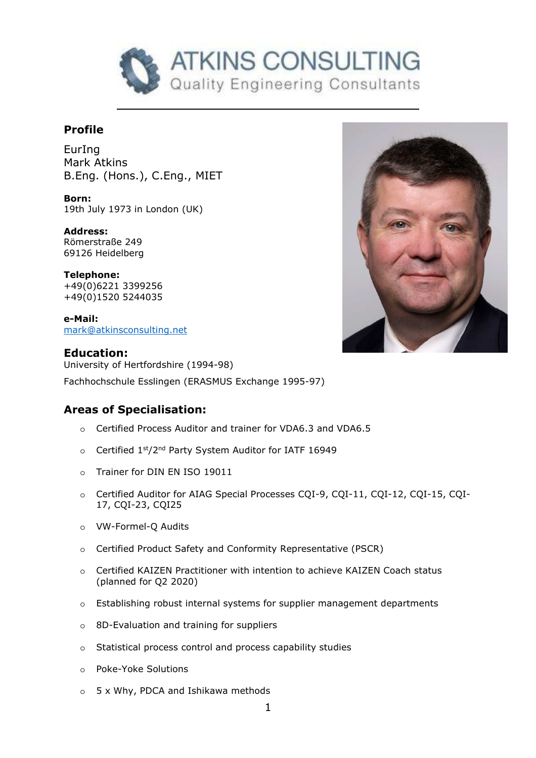

# **Profile**

EurIng Mark Atkins B.Eng. (Hons.), C.Eng., MIET

**Born:**  19th July 1973 in London (UK)

**Address:**  Römerstraße 249 69126 Heidelberg

**Telephone:**  +49(0)6221 3399256 +49(0)1520 5244035

**e-Mail:**  mark@atkinsconsulting.net



**Education:** University of Hertfordshire (1994-98)

Fachhochschule Esslingen (ERASMUS Exchange 1995-97)

## **Areas of Specialisation:**

- o Certified Process Auditor and trainer for VDA6.3 and VDA6.5
- o Certified 1st/2<sup>nd</sup> Party System Auditor for IATF 16949
- o Trainer for DIN EN ISO 19011
- o Certified Auditor for AIAG Special Processes CQI-9, CQI-11, CQI-12, CQI-15, CQI-17, CQI-23, CQI25
- o VW-Formel-Q Audits
- o Certified Product Safety and Conformity Representative (PSCR)
- o Certified KAIZEN Practitioner with intention to achieve KAIZEN Coach status (planned for Q2 2020)
- o Establishing robust internal systems for supplier management departments
- o 8D-Evaluation and training for suppliers
- o Statistical process control and process capability studies
- o Poke-Yoke Solutions
- o 5 x Why, PDCA and Ishikawa methods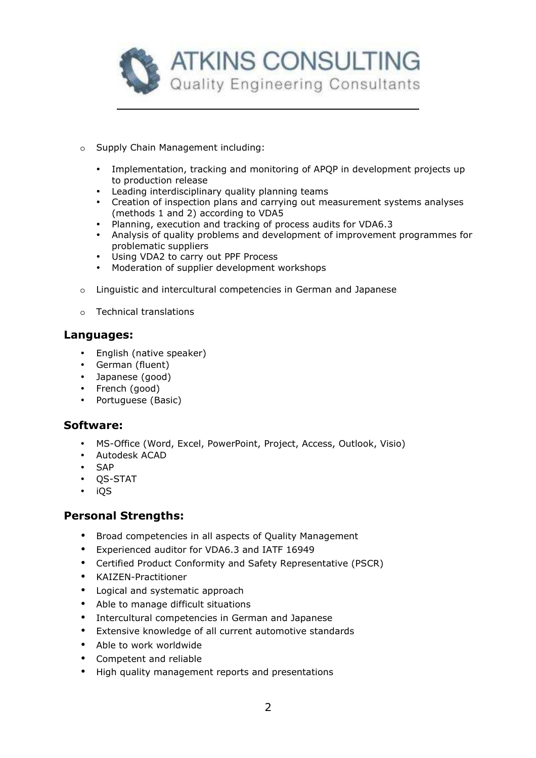

- o Supply Chain Management including:
	- Implementation, tracking and monitoring of APQP in development projects up to production release
	- Leading interdisciplinary quality planning teams
	- Creation of inspection plans and carrying out measurement systems analyses (methods 1 and 2) according to VDA5
	- Planning, execution and tracking of process audits for VDA6.3
	- Analysis of quality problems and development of improvement programmes for problematic suppliers
	- Using VDA2 to carry out PPF Process
	- Moderation of supplier development workshops
- o Linguistic and intercultural competencies in German and Japanese
- o Technical translations

## **Languages:**

- English (native speaker)
- German (fluent)
- Japanese (good)
- French (good)
- Portuguese (Basic)

## **Software:**

- MS-Office (Word, Excel, PowerPoint, Project, Access, Outlook, Visio)
- Autodesk ACAD
- SAP
- QS-STAT
- iQS

## **Personal Strengths:**

- Broad competencies in all aspects of Quality Management
- Experienced auditor for VDA6.3 and IATF 16949
- Certified Product Conformity and Safety Representative (PSCR)
- KAIZEN-Practitioner
- Logical and systematic approach
- Able to manage difficult situations
- Intercultural competencies in German and Japanese
- Extensive knowledge of all current automotive standards
- Able to work worldwide
- Competent and reliable
- High quality management reports and presentations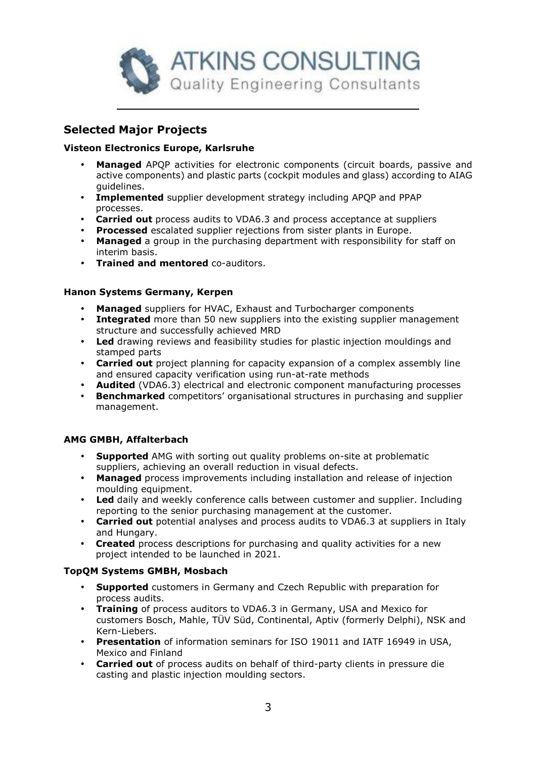

# **Selected Major Projects**

## **Visteon Electronics Europe, Karlsruhe**

- **Managed** APQP activities for electronic components (circuit boards, passive and active components) and plastic parts (cockpit modules and glass) according to AIAG guidelines.
- **Implemented** supplier development strategy including APQP and PPAP processes.
- **Carried out** process audits to VDA6.3 and process acceptance at suppliers
- **Processed** escalated supplier rejections from sister plants in Europe.
- **Managed** a group in the purchasing department with responsibility for staff on interim basis.
- **Trained and mentored** co-auditors.

## **Hanon Systems Germany, Kerpen**

- **Managed** suppliers for HVAC, Exhaust and Turbocharger components
- **Integrated** more than 50 new suppliers into the existing supplier management structure and successfully achieved MRD
- **Led** drawing reviews and feasibility studies for plastic injection mouldings and stamped parts
- **Carried out** project planning for capacity expansion of a complex assembly line and ensured capacity verification using run-at-rate methods
- **Audited** (VDA6.3) electrical and electronic component manufacturing processes
- **Benchmarked** competitors' organisational structures in purchasing and supplier management.

#### **AMG GMBH, Affalterbach**

- **Supported** AMG with sorting out quality problems on-site at problematic suppliers, achieving an overall reduction in visual defects.
- **Managed** process improvements including installation and release of injection moulding equipment.
- **Led** daily and weekly conference calls between customer and supplier. Including reporting to the senior purchasing management at the customer.
- **Carried out** potential analyses and process audits to VDA6.3 at suppliers in Italy and Hungary.
- **Created** process descriptions for purchasing and quality activities for a new project intended to be launched in 2021.

#### **TopQM Systems GMBH, Mosbach**

- **Supported** customers in Germany and Czech Republic with preparation for process audits.
- **Training** of process auditors to VDA6.3 in Germany, USA and Mexico for customers Bosch, Mahle, TÜV Süd, Continental, Aptiv (formerly Delphi), NSK and Kern-Liebers.
- **Presentation** of information seminars for ISO 19011 and IATF 16949 in USA, Mexico and Finland
- **Carried out** of process audits on behalf of third-party clients in pressure die casting and plastic injection moulding sectors.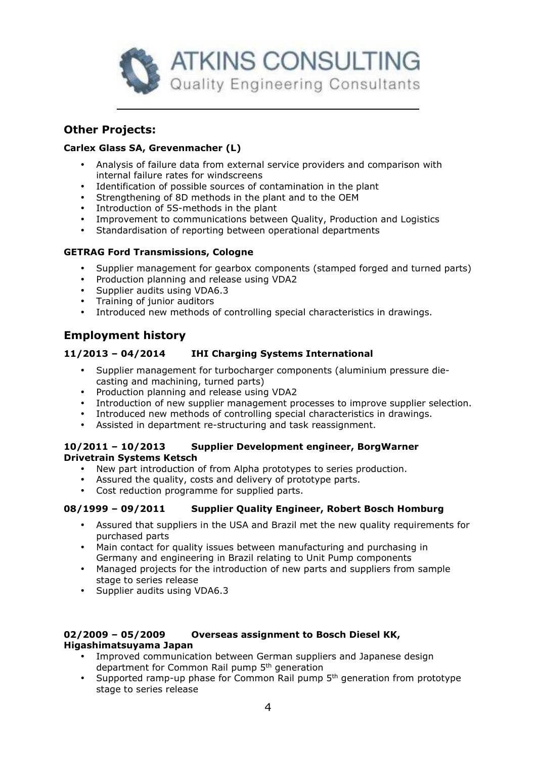

## **Other Projects:**

## **Carlex Glass SA, Grevenmacher (L)**

- Analysis of failure data from external service providers and comparison with internal failure rates for windscreens
- Identification of possible sources of contamination in the plant
- Strengthening of 8D methods in the plant and to the OEM
- Introduction of 5S-methods in the plant
- Improvement to communications between Quality, Production and Logistics
- Standardisation of reporting between operational departments

#### **GETRAG Ford Transmissions, Cologne**

- Supplier management for gearbox components (stamped forged and turned parts)
- Production planning and release using VDA2
- Supplier audits using VDA6.3
- Training of junior auditors
- Introduced new methods of controlling special characteristics in drawings.

## **Employment history**

## **11/2013 – 04/2014 IHI Charging Systems International**

- Supplier management for turbocharger components (aluminium pressure diecasting and machining, turned parts)
- Production planning and release using VDA2
- Introduction of new supplier management processes to improve supplier selection.
- Introduced new methods of controlling special characteristics in drawings.
- Assisted in department re-structuring and task reassignment.

#### **10/2011 – 10/2013 Supplier Development engineer, BorgWarner Drivetrain Systems Ketsch**

- New part introduction of from Alpha prototypes to series production.
- Assured the quality, costs and delivery of prototype parts.
- Cost reduction programme for supplied parts.

## **08/1999 – 09/2011 Supplier Quality Engineer, Robert Bosch Homburg**

- Assured that suppliers in the USA and Brazil met the new quality requirements for purchased parts
- Main contact for quality issues between manufacturing and purchasing in Germany and engineering in Brazil relating to Unit Pump components
- Managed projects for the introduction of new parts and suppliers from sample stage to series release
- Supplier audits using VDA6.3

#### **02/2009 – 05/2009 Overseas assignment to Bosch Diesel KK, Higashimatsuyama Japan**

- Improved communication between German suppliers and Japanese design department for Common Rail pump 5th generation
- Supported ramp-up phase for Common Rail pump  $5<sup>th</sup>$  generation from prototype stage to series release